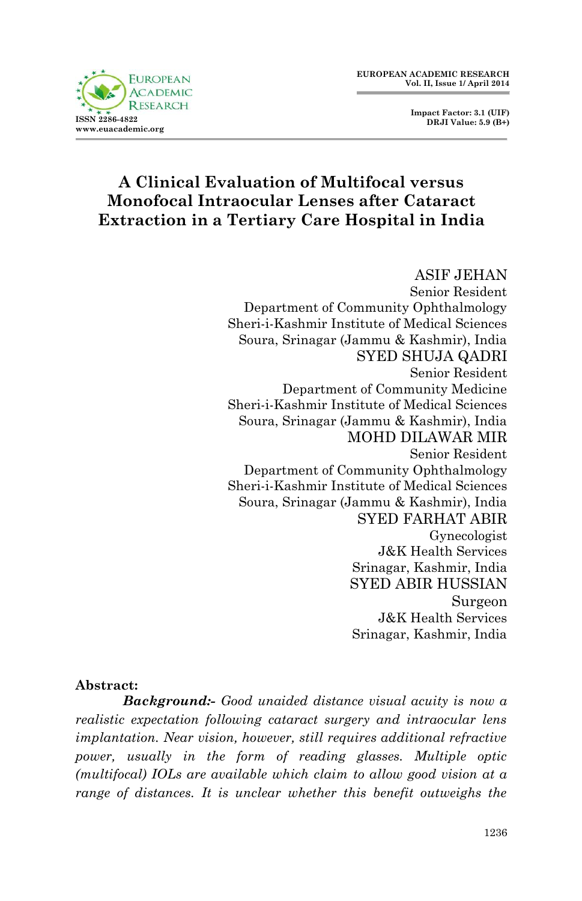

 **Impact Factor: 3.1 (UIF) DRJI Value: 5.9 (B+)**

## **A Clinical Evaluation of Multifocal versus Monofocal Intraocular Lenses after Cataract Extraction in a Tertiary Care Hospital in India**

ASIF JEHAN Senior Resident Department of Community Ophthalmology Sheri-i-Kashmir Institute of Medical Sciences Soura, Srinagar (Jammu & Kashmir), India SYED SHUJA QADRI Senior Resident Department of Community Medicine Sheri-i-Kashmir Institute of Medical Sciences Soura, Srinagar (Jammu & Kashmir), India MOHD DILAWAR MIR Senior Resident Department of Community Ophthalmology Sheri-i-Kashmir Institute of Medical Sciences Soura, Srinagar (Jammu & Kashmir), India SYED FARHAT ABIR Gynecologist J&K Health Services Srinagar, Kashmir, India SYED ABIR HUSSIAN Surgeon J&K Health Services Srinagar, Kashmir, India

#### **Abstract:**

*Background:- Good unaided distance visual acuity is now a realistic expectation following cataract surgery and intraocular lens implantation. Near vision, however, still requires additional refractive power, usually in the form of reading glasses. Multiple optic (multifocal) IOLs are available which claim to allow good vision at a range of distances. It is unclear whether this benefit outweighs the*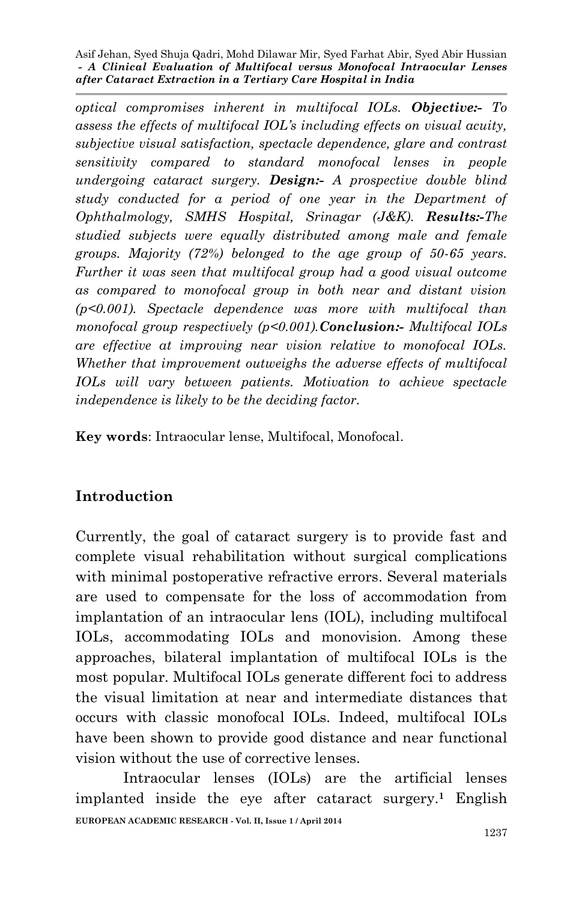*optical compromises inherent in multifocal IOLs. Objective:- To assess the effects of multifocal IOL's including effects on visual acuity, subjective visual satisfaction, spectacle dependence, glare and contrast sensitivity compared to standard monofocal lenses in people undergoing cataract surgery. Design:- A prospective double blind study conducted for a period of one year in the Department of Ophthalmology, SMHS Hospital, Srinagar (J&K). Results:-The studied subjects were equally distributed among male and female groups. Majority (72%) belonged to the age group of 50-65 years. Further it was seen that multifocal group had a good visual outcome as compared to monofocal group in both near and distant vision (p<0.001). Spectacle dependence was more with multifocal than monofocal group respectively (p<0.001).Conclusion:- Multifocal IOLs are effective at improving near vision relative to monofocal IOLs. Whether that improvement outweighs the adverse effects of multifocal IOLs will vary between patients. Motivation to achieve spectacle independence is likely to be the deciding factor.*

**Key words**: Intraocular lense, Multifocal, Monofocal.

### **Introduction**

Currently, the goal of cataract surgery is to provide fast and complete visual rehabilitation without surgical complications with minimal postoperative refractive errors. Several materials are used to compensate for the loss of accommodation from implantation of an intraocular lens (IOL), including multifocal IOLs, accommodating IOLs and monovision. Among these approaches, bilateral implantation of multifocal IOLs is the most popular. Multifocal IOLs generate different foci to address the visual limitation at near and intermediate distances that occurs with classic monofocal IOLs. Indeed, multifocal IOLs have been shown to provide good distance and near functional vision without the use of corrective lenses.

**EUROPEAN ACADEMIC RESEARCH - Vol. II, Issue 1 / April 2014** Intraocular lenses (IOLs) are the artificial lenses implanted inside the eye after cataract surgery.**<sup>1</sup>** English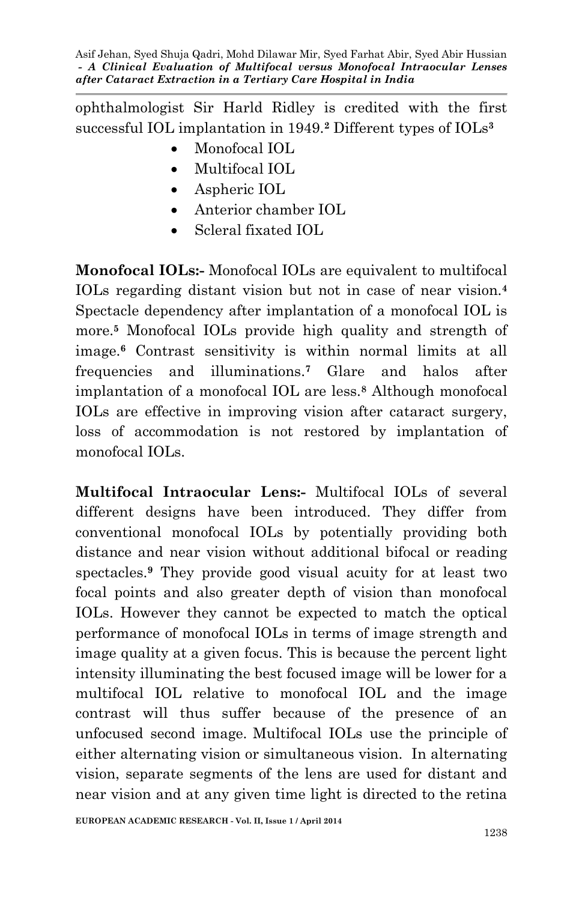ophthalmologist Sir Harld Ridley is credited with the first successful IOL implantation in 1949.**<sup>2</sup>** Different types of IOLs**<sup>3</sup>**

- Monofocal IOL
- Multifocal IOL
- Aspheric IOL
- Anterior chamber IOL
- Scleral fixated IOL

**Monofocal IOLs:-** Monofocal IOLs are equivalent to multifocal IOLs regarding distant vision but not in case of near vision.**<sup>4</sup>** Spectacle dependency after implantation of a monofocal IOL is more.**<sup>5</sup>** Monofocal IOLs provide high quality and strength of image.**<sup>6</sup>** Contrast sensitivity is within normal limits at all frequencies and illuminations.**<sup>7</sup>** Glare and halos after implantation of a monofocal IOL are less.**<sup>8</sup>** Although monofocal IOLs are effective in improving vision after cataract surgery, loss of accommodation is not restored by implantation of monofocal IOLs.

**Multifocal Intraocular Lens:-** Multifocal IOLs of several different designs have been introduced. They differ from conventional monofocal IOLs by potentially providing both distance and near vision without additional bifocal or reading spectacles.**<sup>9</sup>** They provide good visual acuity for at least two focal points and also greater depth of vision than monofocal IOLs. However they cannot be expected to match the optical performance of monofocal IOLs in terms of image strength and image quality at a given focus. This is because the percent light intensity illuminating the best focused image will be lower for a multifocal IOL relative to monofocal IOL and the image contrast will thus suffer because of the presence of an unfocused second image. Multifocal IOLs use the principle of either alternating vision or simultaneous vision. In alternating vision, separate segments of the lens are used for distant and near vision and at any given time light is directed to the retina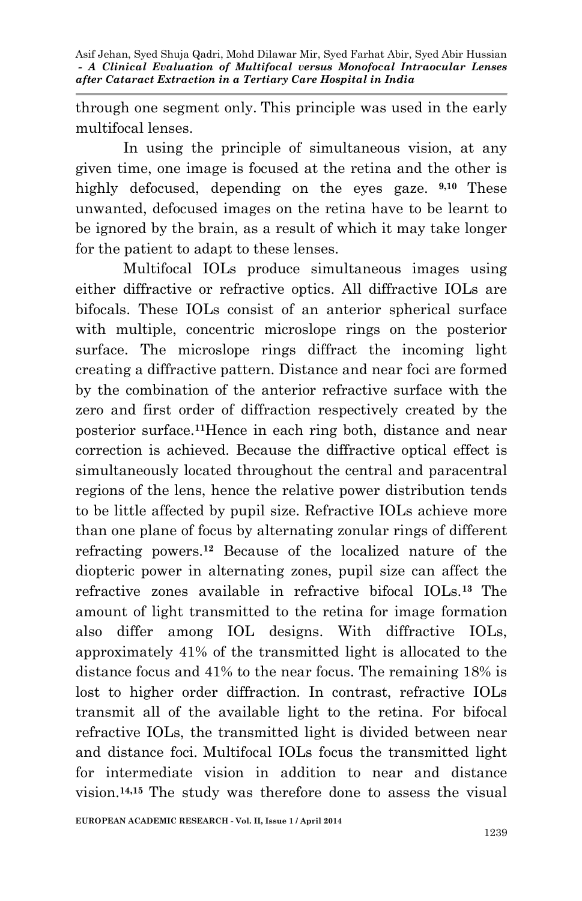through one segment only. This principle was used in the early multifocal lenses.

In using the principle of simultaneous vision, at any given time, one image is focused at the retina and the other is highly defocused, depending on the eyes gaze. **9,10** These unwanted, defocused images on the retina have to be learnt to be ignored by the brain, as a result of which it may take longer for the patient to adapt to these lenses.

Multifocal IOLs produce simultaneous images using either diffractive or refractive optics. All diffractive IOLs are bifocals. These IOLs consist of an anterior spherical surface with multiple, concentric microslope rings on the posterior surface. The microslope rings diffract the incoming light creating a diffractive pattern. Distance and near foci are formed by the combination of the anterior refractive surface with the zero and first order of diffraction respectively created by the posterior surface.**11**Hence in each ring both, distance and near correction is achieved. Because the diffractive optical effect is simultaneously located throughout the central and paracentral regions of the lens, hence the relative power distribution tends to be little affected by pupil size. Refractive IOLs achieve more than one plane of focus by alternating zonular rings of different refracting powers.**<sup>12</sup>** Because of the localized nature of the diopteric power in alternating zones, pupil size can affect the refractive zones available in refractive bifocal IOLs.**<sup>13</sup>** The amount of light transmitted to the retina for image formation also differ among IOL designs. With diffractive IOLs, approximately 41% of the transmitted light is allocated to the distance focus and 41% to the near focus. The remaining 18% is lost to higher order diffraction. In contrast, refractive IOLs transmit all of the available light to the retina. For bifocal refractive IOLs, the transmitted light is divided between near and distance foci. Multifocal IOLs focus the transmitted light for intermediate vision in addition to near and distance vision.**14,15** The study was therefore done to assess the visual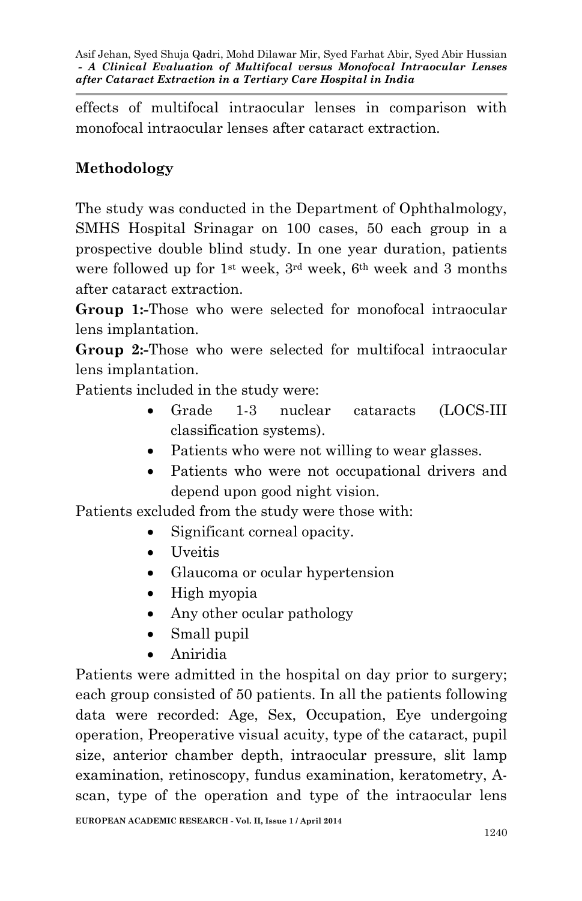effects of multifocal intraocular lenses in comparison with monofocal intraocular lenses after cataract extraction.

# **Methodology**

The study was conducted in the Department of Ophthalmology, SMHS Hospital Srinagar on 100 cases, 50 each group in a prospective double blind study. In one year duration, patients were followed up for 1st week, 3rd week, 6th week and 3 months after cataract extraction.

**Group 1:-**Those who were selected for monofocal intraocular lens implantation.

**Group 2:-**Those who were selected for multifocal intraocular lens implantation.

Patients included in the study were:

- Grade 1-3 nuclear cataracts (LOCS-III classification systems).
- Patients who were not willing to wear glasses.
- Patients who were not occupational drivers and depend upon good night vision.

Patients excluded from the study were those with:

- Significant corneal opacity.
- Uveitis
- Glaucoma or ocular hypertension
- High myopia
- Any other ocular pathology
- Small pupil
- Aniridia

Patients were admitted in the hospital on day prior to surgery; each group consisted of 50 patients. In all the patients following data were recorded: Age, Sex, Occupation, Eye undergoing operation, Preoperative visual acuity, type of the cataract, pupil size, anterior chamber depth, intraocular pressure, slit lamp examination, retinoscopy, fundus examination, keratometry, Ascan, type of the operation and type of the intraocular lens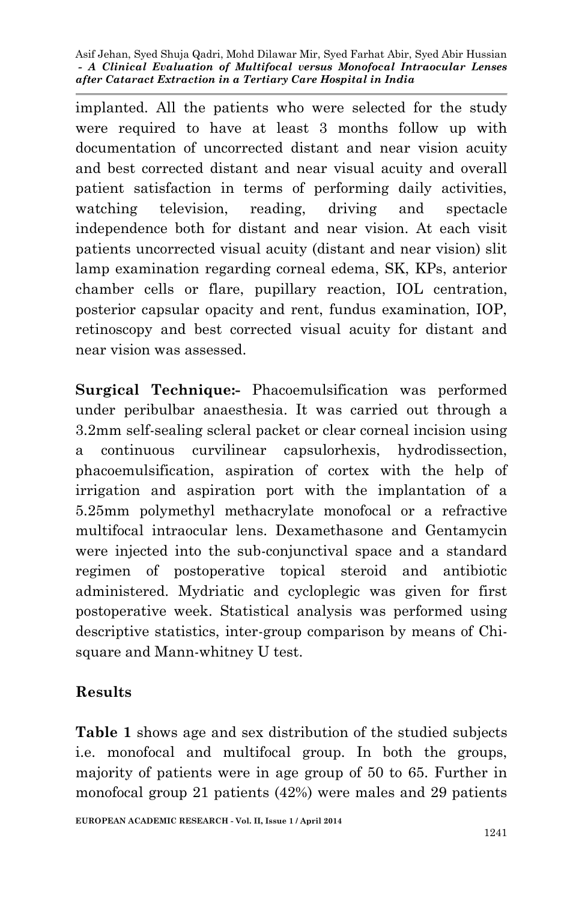implanted. All the patients who were selected for the study were required to have at least 3 months follow up with documentation of uncorrected distant and near vision acuity and best corrected distant and near visual acuity and overall patient satisfaction in terms of performing daily activities, watching television, reading, driving and spectacle independence both for distant and near vision. At each visit patients uncorrected visual acuity (distant and near vision) slit lamp examination regarding corneal edema, SK, KPs, anterior chamber cells or flare, pupillary reaction, IOL centration, posterior capsular opacity and rent, fundus examination, IOP, retinoscopy and best corrected visual acuity for distant and near vision was assessed.

**Surgical Technique:-** Phacoemulsification was performed under peribulbar anaesthesia. It was carried out through a 3.2mm self-sealing scleral packet or clear corneal incision using a continuous curvilinear capsulorhexis, hydrodissection, phacoemulsification, aspiration of cortex with the help of irrigation and aspiration port with the implantation of a 5.25mm polymethyl methacrylate monofocal or a refractive multifocal intraocular lens. Dexamethasone and Gentamycin were injected into the sub-conjunctival space and a standard regimen of postoperative topical steroid and antibiotic administered. Mydriatic and cycloplegic was given for first postoperative week. Statistical analysis was performed using descriptive statistics, inter-group comparison by means of Chisquare and Mann-whitney U test.

### **Results**

**Table 1** shows age and sex distribution of the studied subjects i.e. monofocal and multifocal group. In both the groups, majority of patients were in age group of 50 to 65. Further in monofocal group 21 patients (42%) were males and 29 patients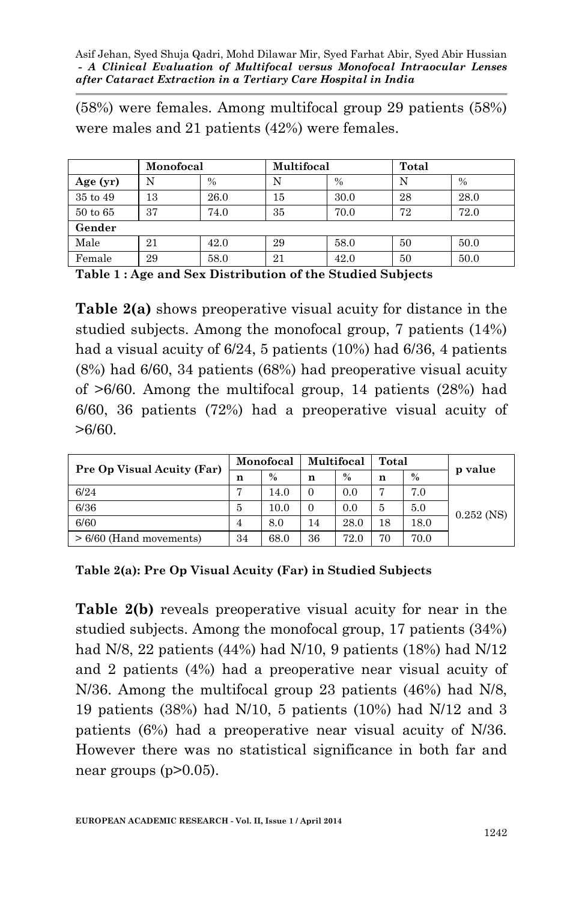(58%) were females. Among multifocal group 29 patients (58%) were males and 21 patients (42%) were females.

|              | Monofocal |               | Multifocal |      | Total |      |  |  |  |
|--------------|-----------|---------------|------------|------|-------|------|--|--|--|
| Age $(yr)$   |           | $\frac{0}{0}$ | N          | $\%$ | N     | $\%$ |  |  |  |
| 35 to 49     | 13        | 26.0          | 15         | 30.0 | 28    | 28.0 |  |  |  |
| $50$ to $65$ | 37        | 74.0          | 35         | 70.0 | 72    | 72.0 |  |  |  |
| Gender       |           |               |            |      |       |      |  |  |  |
| Male         | 21        | 42.0          | 29         | 58.0 | 50    | 50.0 |  |  |  |
| Female       | 29        | 58.0          | 21         | 42.0 | 50    | 50.0 |  |  |  |

**Table 1 : Age and Sex Distribution of the Studied Subjects**

**Table 2(a)** shows preoperative visual acuity for distance in the studied subjects. Among the monofocal group, 7 patients (14%) had a visual acuity of 6/24, 5 patients (10%) had 6/36, 4 patients (8%) had 6/60, 34 patients (68%) had preoperative visual acuity of >6/60. Among the multifocal group, 14 patients (28%) had 6/60, 36 patients (72%) had a preoperative visual acuity of  $>6/60$ .

| <b>Pre Op Visual Acuity (Far)</b> | Monofocal |               |          | Multifocal | Total |      | p value      |  |
|-----------------------------------|-----------|---------------|----------|------------|-------|------|--------------|--|
|                                   | n         | $\frac{0}{0}$ | n        | $\%$       | n     | $\%$ |              |  |
| 6/24                              |           | 14.0          | $\Omega$ | 0.0        |       | 7.0  |              |  |
| 6/36                              | 5         | 10.0          | $\Omega$ | 0.0        | 5     | 5.0  | $0.252$ (NS) |  |
| 6/60                              | 4         | 8.0           | 14       | 28.0       | 18    | 18.0 |              |  |
| $> 6/60$ (Hand movements)         | 34        | 68.0          | 36       | 72.0       | 70    | 70.0 |              |  |

**Table 2(a): Pre Op Visual Acuity (Far) in Studied Subjects**

**Table 2(b)** reveals preoperative visual acuity for near in the studied subjects. Among the monofocal group, 17 patients (34%) had N/8, 22 patients (44%) had N/10, 9 patients (18%) had N/12 and 2 patients (4%) had a preoperative near visual acuity of N/36. Among the multifocal group 23 patients (46%) had N/8, 19 patients (38%) had N/10, 5 patients (10%) had N/12 and 3 patients (6%) had a preoperative near visual acuity of N/36. However there was no statistical significance in both far and near groups (p>0.05).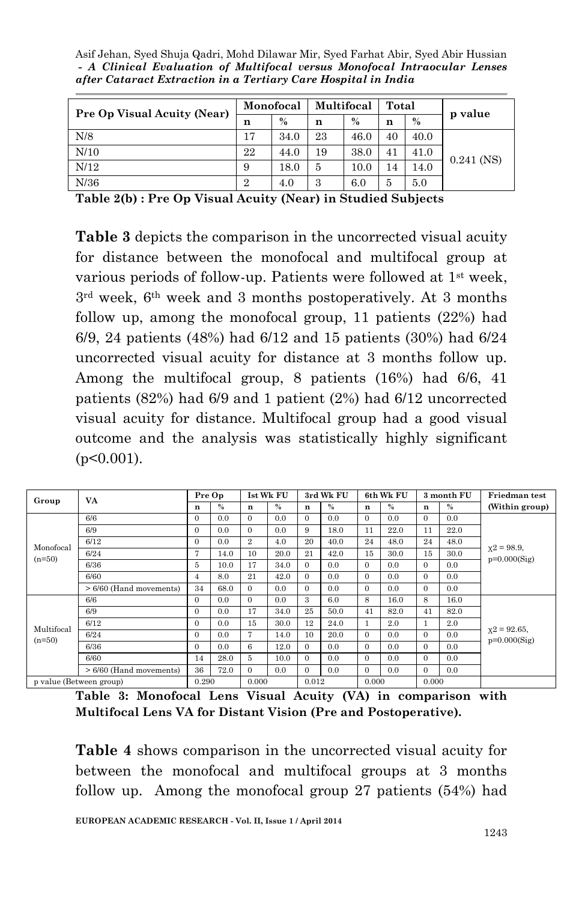Asif Jehan, Syed Shuja Qadri, Mohd Dilawar Mir, Syed Farhat Abir, Syed Abir Hussian *- A Clinical Evaluation of Multifocal versus Monofocal Intraocular Lenses after Cataract Extraction in a Tertiary Care Hospital in India*

| Pre Op Visual Acuity (Near) | Monofocal      |      |    | Multifocal | Total |      | p value      |  |
|-----------------------------|----------------|------|----|------------|-------|------|--------------|--|
|                             | n              | $\%$ | n  | $\%$       | n     | $\%$ |              |  |
| N/8                         | 17             | 34.0 | 23 | 46.0       | 40    | 40.0 |              |  |
| N/10                        | 22             | 44.0 | 19 | 38.0       | 41    | 41.0 | $0.241$ (NS) |  |
| N/12                        | 9              | 18.0 | 5  | 10.0       | 14    | 14.0 |              |  |
| N/36                        | $\overline{2}$ | 4.0  | 3  | 6.0        | 5     | 5.0  |              |  |

**Table 2(b) : Pre Op Visual Acuity (Near) in Studied Subjects**

**Table 3** depicts the comparison in the uncorrected visual acuity for distance between the monofocal and multifocal group at various periods of follow-up. Patients were followed at 1st week, 3rd week, 6th week and 3 months postoperatively. At 3 months follow up, among the monofocal group, 11 patients (22%) had 6/9, 24 patients (48%) had 6/12 and 15 patients (30%) had 6/24 uncorrected visual acuity for distance at 3 months follow up. Among the multifocal group, 8 patients (16%) had 6/6, 41 patients (82%) had 6/9 and 1 patient (2%) had 6/12 uncorrected visual acuity for distance. Multifocal group had a good visual outcome and the analysis was statistically highly significant  $(p<0.001)$ .

| Group                   | VA.                       | Pre Op       |      | <b>Ist Wk FU</b> |      | 3rd Wk FU     |      | 6th Wk FU    |      | 3 month FU   |      | Friedman test                     |  |
|-------------------------|---------------------------|--------------|------|------------------|------|---------------|------|--------------|------|--------------|------|-----------------------------------|--|
|                         |                           | n            | %    | n                | $\%$ | n             | $\%$ | $\mathbf n$  | $\%$ | n            | $\%$ | (Within group)                    |  |
|                         | 6/6                       | $\mathbf{0}$ | 0.0  | $\Omega$         | 0.0  | $\mathbf{0}$  | 0.0  | $\mathbf{0}$ | 0.0  | $\Omega$     | 0.0  |                                   |  |
|                         | 6/9                       | $\mathbf{0}$ | 0.0  | $\Omega$         | 0.0  | 9             | 18.0 | 11           | 22.0 | 11           | 22.0 |                                   |  |
| Monofocal               | 6/12                      | $\Omega$     | 0.0  | $\overline{2}$   | 4.0  | 20            | 40.0 | 24           | 48.0 | 24           | 48.0 |                                   |  |
| $(n=50)$                | 6/24                      | 7            | 14.0 | 10               | 20.0 | 21            | 42.0 | 15           | 30.0 | 15           | 30.0 | $x^2 = 98.9$ ,<br>$p=0.000(Sig)$  |  |
|                         | 6/36                      | 5            | 10.0 | 17               | 34.0 | $\Omega$      | 0.0  | $\mathbf{0}$ | 0.0  | $\mathbf{0}$ | 0.0  |                                   |  |
|                         | 6/60                      | 4            | 8.0  | 21               | 42.0 | $\Omega$      | 0.0  | $\mathbf{0}$ | 0.0  | $\mathbf{0}$ | 0.0  |                                   |  |
|                         | $>6/60$ (Hand movements)  | 34           | 68.0 | $\Omega$         | 0.0  | $\Omega$      | 0.0  | $\mathbf{0}$ | 0.0  | $\mathbf{0}$ | 0.0  |                                   |  |
|                         | 6/6                       | $\Omega$     | 0.0  | $\Omega$         | 0.0  | $\mathcal{R}$ | 6.0  | 8            | 16.0 | 8            | 16.0 |                                   |  |
|                         | 6/9                       | $\mathbf{0}$ | 0.0  | 17               | 34.0 | 25            | 50.0 | 41           | 82.0 | 41           | 82.0 |                                   |  |
| Multifocal              | 6/12                      | $\Omega$     | 0.0  | 15               | 30.0 | 12            | 24.0 | $\mathbf{1}$ | 2.0  | $\mathbf{1}$ | 2.0  |                                   |  |
| $(n=50)$                | 6/24                      | $\mathbf{0}$ | 0.0  | 7                | 14.0 | 10            | 20.0 | $\mathbf{0}$ | 0.0  | $\mathbf{0}$ | 0.0  | $x^2 = 92.65$ ,<br>$p=0.000(Sig)$ |  |
|                         | 6/36                      | $\mathbf{0}$ | 0.0  | 6                | 12.0 | $\mathbf{0}$  | 0.0  | $\mathbf{0}$ | 0.0  | $\mathbf{0}$ | 0.0  |                                   |  |
|                         | 6/60                      | 14           | 28.0 | 5                | 10.0 | $\Omega$      | 0.0  | $\mathbf{0}$ | 0.0  | $\Omega$     | 0.0  |                                   |  |
|                         | $> 6/60$ (Hand movements) | 36           | 72.0 | $\Omega$         | 0.0  | $\Omega$      | 0.0  | $\mathbf{0}$ | 0.0  | $\Omega$     | 0.0  |                                   |  |
| p value (Between group) |                           | 0.290        |      | 0.000            |      | 0.012         |      | 0.000        |      | 0.000        |      |                                   |  |

**Table 3: Monofocal Lens Visual Acuity (VA) in comparison with Multifocal Lens VA for Distant Vision (Pre and Postoperative).**

**Table 4** shows comparison in the uncorrected visual acuity for between the monofocal and multifocal groups at 3 months follow up. Among the monofocal group 27 patients (54%) had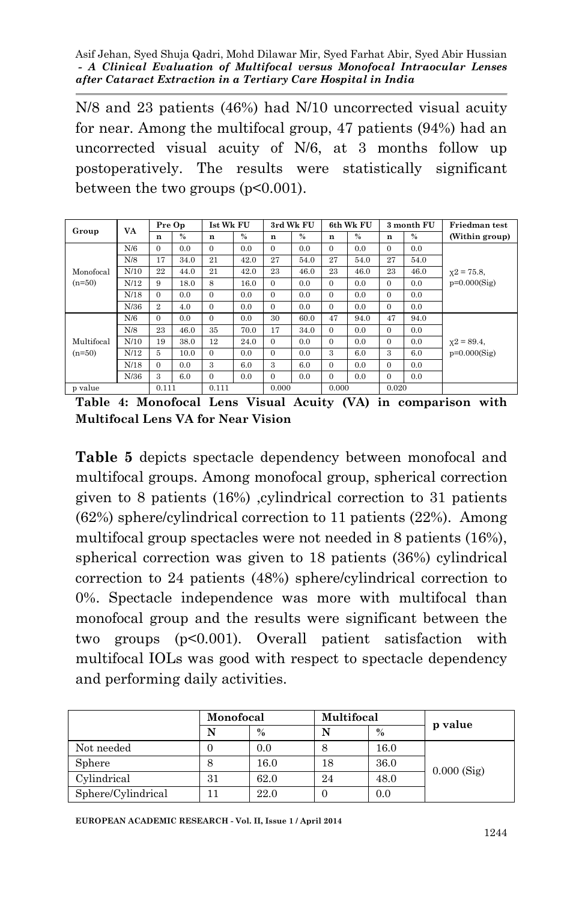N/8 and 23 patients (46%) had N/10 uncorrected visual acuity for near. Among the multifocal group, 47 patients (94%) had an uncorrected visual acuity of N/6, at 3 months follow up postoperatively. The results were statistically significant between the two groups  $(p<0.001)$ .

| Group                  |      | Pre Op       |      | <b>Ist Wk FU</b> |      |              | 3rd Wk FU |          | 6th Wk FU | 3 month FU |      | <b>Friedman</b> test |  |  |
|------------------------|------|--------------|------|------------------|------|--------------|-----------|----------|-----------|------------|------|----------------------|--|--|
|                        | VA   | n            | $\%$ | n                | $\%$ | n            | $\%$      | n        | $\%$      | n          | $\%$ | (Within group)       |  |  |
|                        | N/6  | $\Omega$     | 0.0  | 0                | 0.0  | $\mathbf{0}$ | 0.0       | $\Omega$ | 0.0       | $\Omega$   | 0.0  |                      |  |  |
|                        | N/8  | 17           | 34.0 | 21               | 42.0 | 27           | 54.0      | 27       | 54.0      | 27         | 54.0 |                      |  |  |
| Monofocal<br>$(n=50)$  | N/10 | 22           | 44.0 | 21               | 42.0 | 23           | 46.0      | 23       | 46.0      | 23         | 46.0 | $x2 = 75.8$          |  |  |
|                        | N/12 | 9            | 18.0 | 8                | 16.0 | $\Omega$     | 0.0       | $\Omega$ | 0.0       | $\Omega$   | 0.0  | $p=0.000(Sig)$       |  |  |
|                        | N/18 | $\Omega$     | 0.0  | $\Omega$         | 0.0  | $\Omega$     | 0.0       | $\Omega$ | 0.0       | $\Omega$   | 0.0  |                      |  |  |
|                        | N/36 | $\mathbf{2}$ | 4.0  | $\Omega$         | 0.0  | $\Omega$     | 0.0       | $\Omega$ | 0.0       | $\Omega$   | 0.0  |                      |  |  |
| Multifocal<br>$(n=50)$ | N/6  | $\Omega$     | 0.0  | $\mathbf{0}$     | 0.0  | 30           | 60.0      | 47       | 94.0      | 47         | 94.0 | $x2 = 89.4$ ,        |  |  |
|                        | N/8  | 23           | 46.0 | 35               | 70.0 | 17           | 34.0      | $\Omega$ | 0.0       | $\Omega$   | 0.0  |                      |  |  |
|                        | N/10 | 19           | 38.0 | 12               | 24.0 | $\Omega$     | 0.0       | $\Omega$ | 0.0       | $\Omega$   | 0.0  |                      |  |  |
|                        | N/12 | 5            | 10.0 | $\Omega$         | 0.0  | $\Omega$     | 0.0       | 3        | 6.0       | 3          | 6.0  | $p=0.000(Sig)$       |  |  |
|                        | N/18 | $\Omega$     | 0.0  | 3                | 6.0  | 3            | 6.0       | $\Omega$ | 0.0       | $\Omega$   | 0.0  |                      |  |  |
|                        | N/36 | 3            | 6.0  | $\Omega$         | 0.0  | $\Omega$     | 0.0       | $\Omega$ | 0.0       | $\Omega$   | 0.0  |                      |  |  |
| p value                |      | 0.111        |      | 0.111            |      | 0.000        |           | 0.000    |           | 0.020      |      |                      |  |  |

**Table 4: Monofocal Lens Visual Acuity (VA) in comparison with Multifocal Lens VA for Near Vision**

**Table 5** depicts spectacle dependency between monofocal and multifocal groups. Among monofocal group, spherical correction given to 8 patients (16%) ,cylindrical correction to 31 patients (62%) sphere/cylindrical correction to 11 patients (22%). Among multifocal group spectacles were not needed in 8 patients (16%), spherical correction was given to 18 patients (36%) cylindrical correction to 24 patients (48%) sphere/cylindrical correction to 0%. Spectacle independence was more with multifocal than monofocal group and the results were significant between the two groups (p<0.001). Overall patient satisfaction with multifocal IOLs was good with respect to spectacle dependency and performing daily activities.

|                    | Monofocal |      | Multifocal |      | p value       |  |
|--------------------|-----------|------|------------|------|---------------|--|
|                    |           | $\%$ |            | $\%$ |               |  |
| Not needed         |           | 0.0  |            | 16.0 |               |  |
| Sphere             |           | 16.0 | 18         | 36.0 | $0.000$ (Sig) |  |
| Cylindrical        | 31        | 62.0 | 24         | 48.0 |               |  |
| Sphere/Cylindrical |           | 22.0 |            | 0.0  |               |  |

**EUROPEAN ACADEMIC RESEARCH - Vol. II, Issue 1 / April 2014**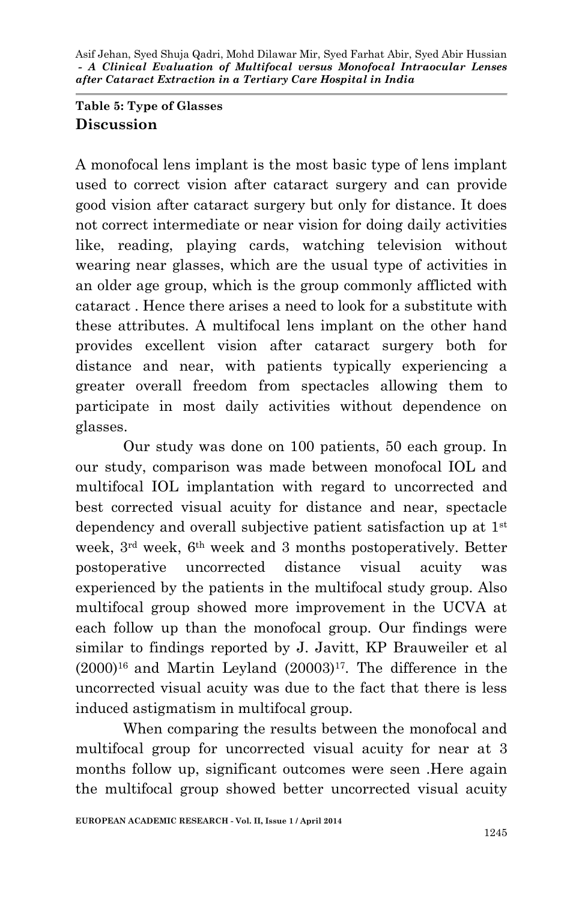### **Table 5: Type of Glasses Discussion**

A monofocal lens implant is the most basic type of lens implant used to correct vision after cataract surgery and can provide good vision after cataract surgery but only for distance. It does not correct intermediate or near vision for doing daily activities like, reading, playing cards, watching television without wearing near glasses, which are the usual type of activities in an older age group, which is the group commonly afflicted with cataract . Hence there arises a need to look for a substitute with these attributes. A multifocal lens implant on the other hand provides excellent vision after cataract surgery both for distance and near, with patients typically experiencing a greater overall freedom from spectacles allowing them to participate in most daily activities without dependence on glasses.

Our study was done on 100 patients, 50 each group. In our study, comparison was made between monofocal IOL and multifocal IOL implantation with regard to uncorrected and best corrected visual acuity for distance and near, spectacle dependency and overall subjective patient satisfaction up at 1st week, 3rd week, 6th week and 3 months postoperatively. Better postoperative uncorrected distance visual acuity was experienced by the patients in the multifocal study group. Also multifocal group showed more improvement in the UCVA at each follow up than the monofocal group. Our findings were similar to findings reported by J. Javitt, KP Brauweiler et al  $(2000)^{16}$  and Martin Leyland  $(20003)^{17}$ . The difference in the uncorrected visual acuity was due to the fact that there is less induced astigmatism in multifocal group.

When comparing the results between the monofocal and multifocal group for uncorrected visual acuity for near at 3 months follow up, significant outcomes were seen .Here again the multifocal group showed better uncorrected visual acuity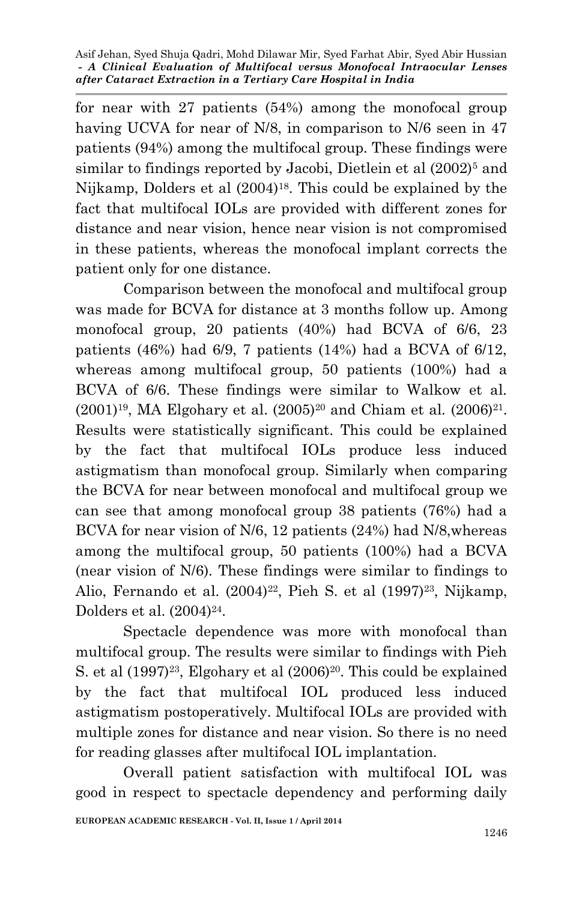for near with 27 patients (54%) among the monofocal group having UCVA for near of N/8, in comparison to N/6 seen in 47 patients (94%) among the multifocal group. These findings were similar to findings reported by Jacobi, Dietlein et al  $(2002)^5$  and Nijkamp, Dolders et al (2004)18. This could be explained by the fact that multifocal IOLs are provided with different zones for distance and near vision, hence near vision is not compromised in these patients, whereas the monofocal implant corrects the patient only for one distance.

Comparison between the monofocal and multifocal group was made for BCVA for distance at 3 months follow up. Among monofocal group, 20 patients (40%) had BCVA of 6/6, 23 patients (46%) had  $6/9$ , 7 patients (14%) had a BCVA of  $6/12$ , whereas among multifocal group, 50 patients (100%) had a BCVA of 6/6. These findings were similar to Walkow et al.  $(2001)^{19}$ , MA Elgohary et al.  $(2005)^{20}$  and Chiam et al.  $(2006)^{21}$ . Results were statistically significant. This could be explained by the fact that multifocal IOLs produce less induced astigmatism than monofocal group. Similarly when comparing the BCVA for near between monofocal and multifocal group we can see that among monofocal group 38 patients (76%) had a BCVA for near vision of N/6, 12 patients (24%) had N/8,whereas among the multifocal group, 50 patients (100%) had a BCVA (near vision of N/6). These findings were similar to findings to Alio, Fernando et al. (2004)<sup>22</sup>, Pieh S. et al (1997)<sup>23</sup>, Nijkamp, Dolders et al.  $(2004)^{24}$ .

Spectacle dependence was more with monofocal than multifocal group. The results were similar to findings with Pieh S. et al  $(1997)^{23}$ , Elgohary et al  $(2006)^{20}$ . This could be explained by the fact that multifocal IOL produced less induced astigmatism postoperatively. Multifocal IOLs are provided with multiple zones for distance and near vision. So there is no need for reading glasses after multifocal IOL implantation.

Overall patient satisfaction with multifocal IOL was good in respect to spectacle dependency and performing daily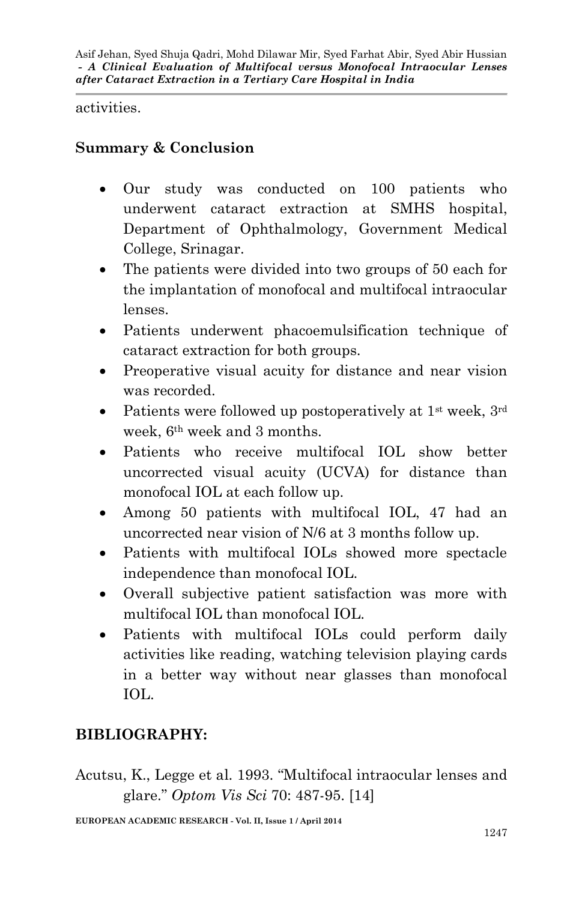activities.

## **Summary & Conclusion**

- Our study was conducted on 100 patients who underwent cataract extraction at SMHS hospital, Department of Ophthalmology, Government Medical College, Srinagar.
- The patients were divided into two groups of 50 each for the implantation of monofocal and multifocal intraocular lenses.
- Patients underwent phacoemulsification technique of cataract extraction for both groups.
- Preoperative visual acuity for distance and near vision was recorded.
- Patients were followed up postoperatively at  $1<sup>st</sup>$  week,  $3<sup>rd</sup>$ week, 6th week and 3 months.
- Patients who receive multifocal IOL show better uncorrected visual acuity (UCVA) for distance than monofocal IOL at each follow up.
- Among 50 patients with multifocal IOL, 47 had an uncorrected near vision of N/6 at 3 months follow up.
- Patients with multifocal IOLs showed more spectacle independence than monofocal IOL.
- Overall subjective patient satisfaction was more with multifocal IOL than monofocal IOL.
- Patients with multifocal IOLs could perform daily activities like reading, watching television playing cards in a better way without near glasses than monofocal IOL.

# **BIBLIOGRAPHY:**

Acutsu, K., Legge et al. 1993. "Multifocal intraocular lenses and glare." *Optom Vis Sci* 70: 487-95. [14]

**EUROPEAN ACADEMIC RESEARCH - Vol. II, Issue 1 / April 2014**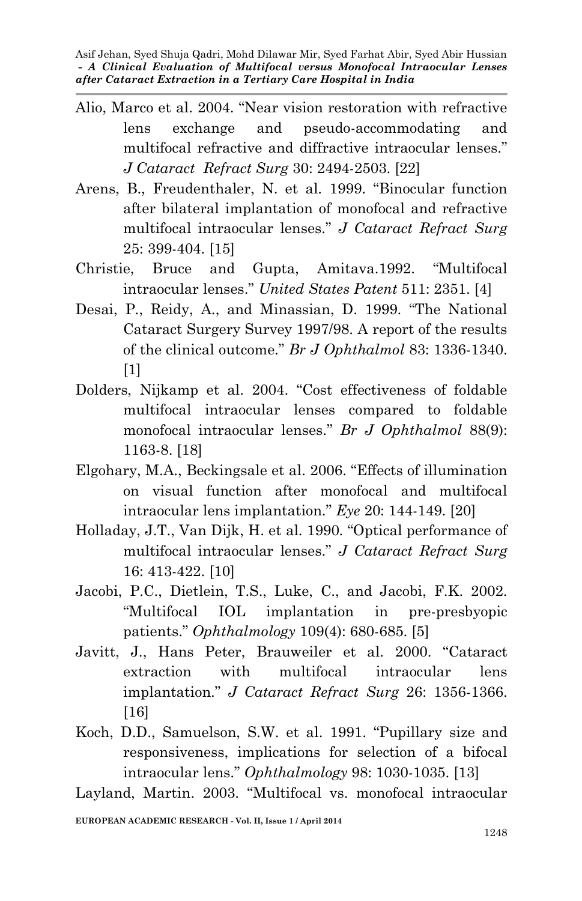- Alio, Marco et al. 2004. "Near vision restoration with refractive lens exchange and pseudo-accommodating and multifocal refractive and diffractive intraocular lenses." *J Cataract Refract Surg* 30: 2494-2503. [22]
- Arens, B., Freudenthaler, N. et al. 1999. "Binocular function after bilateral implantation of monofocal and refractive multifocal intraocular lenses." *J Cataract Refract Surg* 25: 399-404. [15]
- Christie, Bruce and Gupta, Amitava.1992. "Multifocal intraocular lenses." *United States Patent* 511: 2351. [4]
- Desai, P., Reidy, A., and Minassian, D. 1999. "The National Cataract Surgery Survey 1997/98. A report of the results of the clinical outcome." *Br J Ophthalmol* 83: 1336-1340. [1]
- Dolders, Nijkamp et al. 2004. "Cost effectiveness of foldable multifocal intraocular lenses compared to foldable monofocal intraocular lenses." *Br J Ophthalmol* 88(9): 1163-8. [18]
- Elgohary, M.A., Beckingsale et al. 2006. "Effects of illumination on visual function after monofocal and multifocal intraocular lens implantation." *Eye* 20: 144-149. [20]
- Holladay, J.T., Van Dijk, H. et al. 1990. "Optical performance of multifocal intraocular lenses." *J Cataract Refract Surg* 16: 413-422. [10]
- Jacobi, P.C., Dietlein, T.S., Luke, C., and Jacobi, F.K. 2002. "Multifocal IOL implantation in pre-presbyopic patients." *Ophthalmology* 109(4): 680-685. [5]
- Javitt, J., Hans Peter, Brauweiler et al. 2000. "Cataract extraction with multifocal intraocular lens implantation." *J Cataract Refract Surg* 26: 1356-1366. [16]
- Koch, D.D., Samuelson, S.W. et al. 1991. "Pupillary size and responsiveness, implications for selection of a bifocal intraocular lens." *Ophthalmology* 98: 1030-1035. [13]

Layland, Martin. 2003. "Multifocal vs. monofocal intraocular